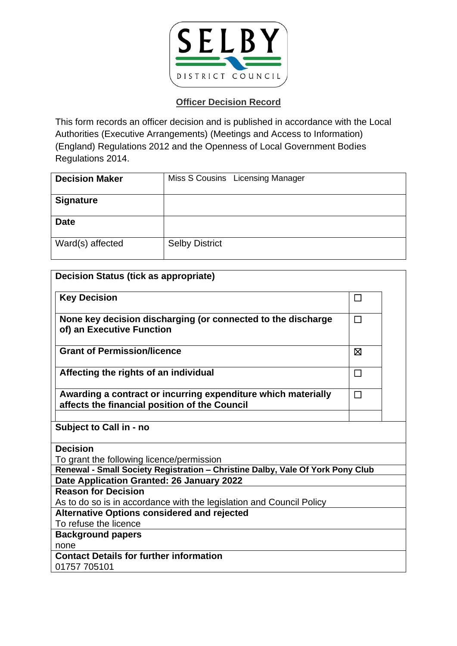

| <b>Decision Maker</b> | Miss S Cousins Licensing Manager |
|-----------------------|----------------------------------|
| <b>Signature</b>      |                                  |
| <b>Date</b>           |                                  |
| Ward(s) affected      | <b>Selby District</b>            |

| <b>Decision Status (tick as appropriate)</b>                                                                   |        |  |
|----------------------------------------------------------------------------------------------------------------|--------|--|
| <b>Key Decision</b>                                                                                            | П      |  |
| None key decision discharging (or connected to the discharge<br>of) an Executive Function                      | $\Box$ |  |
| <b>Grant of Permission/licence</b>                                                                             | ⊠      |  |
| Affecting the rights of an individual                                                                          | $\Box$ |  |
| Awarding a contract or incurring expenditure which materially<br>affects the financial position of the Council | $\Box$ |  |
|                                                                                                                |        |  |
| Subject to Call in - no                                                                                        |        |  |
| <b>Decision</b>                                                                                                |        |  |
| To grant the following licence/permission                                                                      |        |  |
| Renewal - Small Society Registration - Christine Dalby, Vale Of York Pony Club                                 |        |  |
| Date Application Granted: 26 January 2022                                                                      |        |  |
| <b>Reason for Decision</b>                                                                                     |        |  |
| As to do so is in accordance with the legislation and Council Policy                                           |        |  |
| <b>Alternative Options considered and rejected</b>                                                             |        |  |
| To refuse the licence                                                                                          |        |  |
| <b>Background papers</b>                                                                                       |        |  |
| none                                                                                                           |        |  |
| <b>Contact Details for further information</b>                                                                 |        |  |
| 01757 705101                                                                                                   |        |  |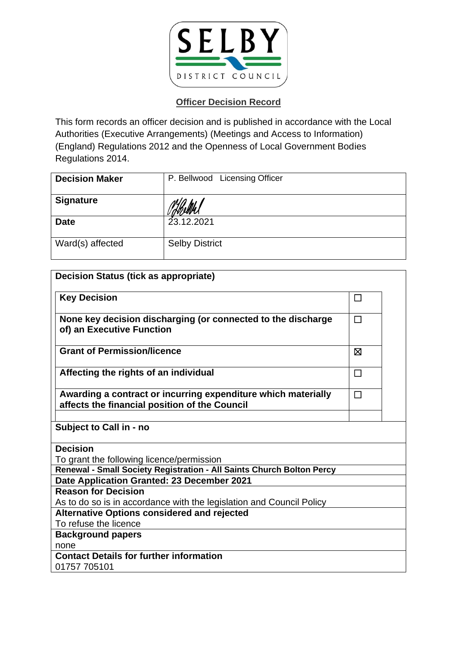

| <b>Decision Maker</b> | P. Bellwood Licensing Officer |
|-----------------------|-------------------------------|
| <b>Signature</b>      |                               |
| <b>Date</b>           | 23.12.2021                    |
| Ward(s) affected      | <b>Selby District</b>         |

| <b>Decision Status (tick as appropriate)</b>                                                                   |        |
|----------------------------------------------------------------------------------------------------------------|--------|
| <b>Key Decision</b>                                                                                            | ⊔      |
| None key decision discharging (or connected to the discharge<br>of) an Executive Function                      | □      |
| <b>Grant of Permission/licence</b>                                                                             | ⊠      |
| Affecting the rights of an individual                                                                          | $\Box$ |
| Awarding a contract or incurring expenditure which materially<br>affects the financial position of the Council | $\Box$ |
|                                                                                                                |        |
| Subject to Call in - no                                                                                        |        |
| <b>Decision</b>                                                                                                |        |
| To grant the following licence/permission                                                                      |        |
| Renewal - Small Society Registration - All Saints Church Bolton Percy                                          |        |
| Date Application Granted: 23 December 2021                                                                     |        |
| <b>Reason for Decision</b>                                                                                     |        |
| As to do so is in accordance with the legislation and Council Policy                                           |        |
| <b>Alternative Options considered and rejected</b><br>To refuse the licence                                    |        |
|                                                                                                                |        |
| <b>Background papers</b>                                                                                       |        |
| none<br><b>Contact Details for further information</b>                                                         |        |
| 01757 705101                                                                                                   |        |
|                                                                                                                |        |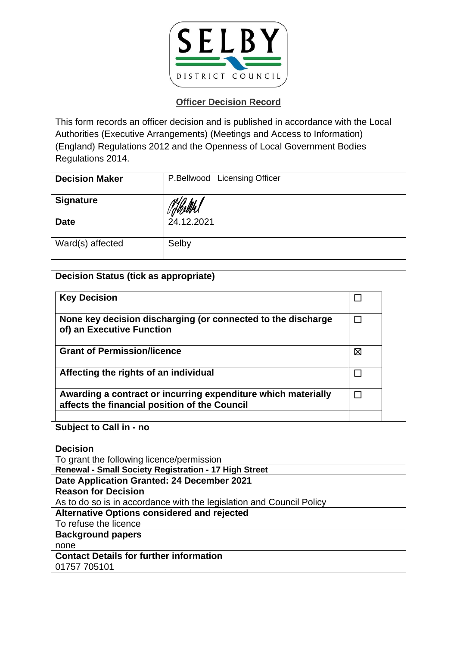

| <b>Decision Maker</b> | P.Bellwood Licensing Officer |
|-----------------------|------------------------------|
| <b>Signature</b>      |                              |
| <b>Date</b>           | 24.12.2021                   |
| Ward(s) affected      | Selby                        |

| <b>Decision Status (tick as appropriate)</b>                                                                   |        |  |
|----------------------------------------------------------------------------------------------------------------|--------|--|
| <b>Key Decision</b>                                                                                            | $\Box$ |  |
| None key decision discharging (or connected to the discharge<br>of) an Executive Function                      | П      |  |
| <b>Grant of Permission/licence</b>                                                                             | ⊠      |  |
| Affecting the rights of an individual                                                                          | П      |  |
| Awarding a contract or incurring expenditure which materially<br>affects the financial position of the Council | $\Box$ |  |
| <b>Subject to Call in - no</b>                                                                                 |        |  |
| <b>Decision</b>                                                                                                |        |  |
| To grant the following licence/permission                                                                      |        |  |
| Renewal - Small Society Registration - 17 High Street                                                          |        |  |
| Date Application Granted: 24 December 2021                                                                     |        |  |
| <b>Reason for Decision</b>                                                                                     |        |  |
| As to do so is in accordance with the legislation and Council Policy                                           |        |  |
| <b>Alternative Options considered and rejected</b>                                                             |        |  |
| To refuse the licence                                                                                          |        |  |
| <b>Background papers</b>                                                                                       |        |  |
| none                                                                                                           |        |  |
| <b>Contact Details for further information</b><br>01757 705101                                                 |        |  |
|                                                                                                                |        |  |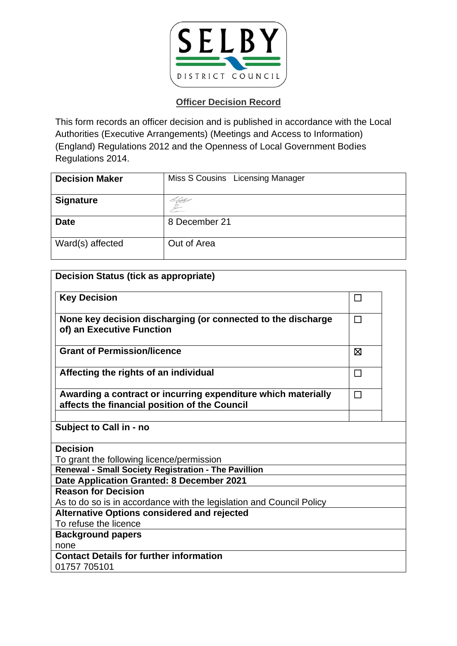

| <b>Decision Maker</b> | Miss S Cousins Licensing Manager |
|-----------------------|----------------------------------|
| <b>Signature</b>      | : Cittes                         |
| <b>Date</b>           | 8 December 21                    |
| Ward(s) affected      | Out of Area                      |

| <b>Decision Status (tick as appropriate)</b>                                                                   |        |  |
|----------------------------------------------------------------------------------------------------------------|--------|--|
| <b>Key Decision</b>                                                                                            | □      |  |
| None key decision discharging (or connected to the discharge<br>of) an Executive Function                      | $\Box$ |  |
| <b>Grant of Permission/licence</b>                                                                             | Ø      |  |
| Affecting the rights of an individual                                                                          | $\Box$ |  |
| Awarding a contract or incurring expenditure which materially<br>affects the financial position of the Council | $\Box$ |  |
| Subject to Call in - no                                                                                        |        |  |
| <b>Decision</b>                                                                                                |        |  |
| To grant the following licence/permission                                                                      |        |  |
| Renewal - Small Society Registration - The Pavillion                                                           |        |  |
| Date Application Granted: 8 December 2021                                                                      |        |  |
| <b>Reason for Decision</b>                                                                                     |        |  |
| As to do so is in accordance with the legislation and Council Policy                                           |        |  |
| <b>Alternative Options considered and rejected</b>                                                             |        |  |
| To refuse the licence                                                                                          |        |  |
| <b>Background papers</b>                                                                                       |        |  |
| none                                                                                                           |        |  |
| <b>Contact Details for further information</b>                                                                 |        |  |
| 01757 705101                                                                                                   |        |  |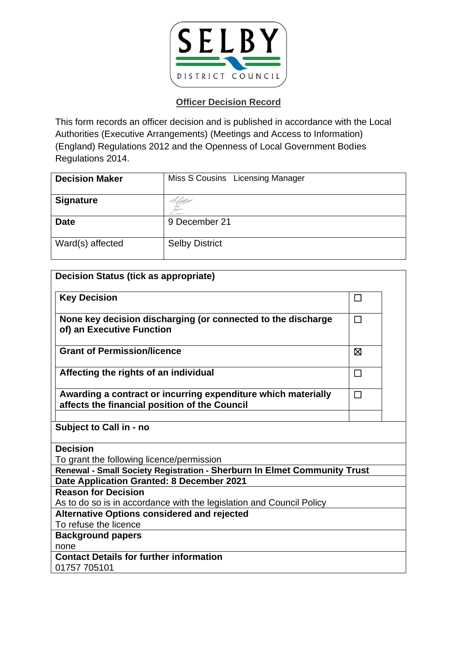

| <b>Decision Maker</b> | Miss S Cousins Licensing Manager |
|-----------------------|----------------------------------|
| <b>Signature</b>      | diff-                            |
| <b>Date</b>           | 9 December 21                    |
| Ward(s) affected      | <b>Selby District</b>            |

| <b>Decision Status (tick as appropriate)</b>                                                                   |        |  |
|----------------------------------------------------------------------------------------------------------------|--------|--|
| <b>Key Decision</b>                                                                                            | □      |  |
| None key decision discharging (or connected to the discharge                                                   | П      |  |
| of) an Executive Function                                                                                      |        |  |
| <b>Grant of Permission/licence</b>                                                                             | ⊠      |  |
| Affecting the rights of an individual                                                                          | $\Box$ |  |
| Awarding a contract or incurring expenditure which materially<br>affects the financial position of the Council | $\Box$ |  |
|                                                                                                                |        |  |
| Subject to Call in - no                                                                                        |        |  |
| <b>Decision</b>                                                                                                |        |  |
| To grant the following licence/permission                                                                      |        |  |
| Renewal - Small Society Registration - Sherburn In Elmet Community Trust                                       |        |  |
| Date Application Granted: 8 December 2021                                                                      |        |  |
| <b>Reason for Decision</b>                                                                                     |        |  |
| As to do so is in accordance with the legislation and Council Policy                                           |        |  |
| <b>Alternative Options considered and rejected</b>                                                             |        |  |
| To refuse the licence                                                                                          |        |  |
| <b>Background papers</b>                                                                                       |        |  |
| none                                                                                                           |        |  |
| <b>Contact Details for further information</b>                                                                 |        |  |
| 01757 705101                                                                                                   |        |  |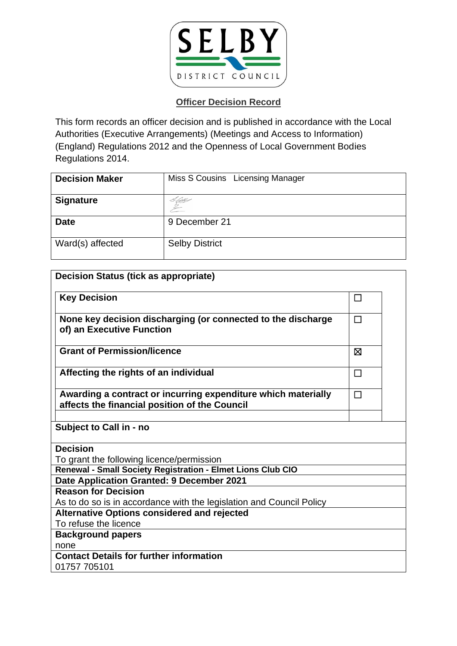

| <b>Decision Maker</b> | Miss S Cousins Licensing Manager |
|-----------------------|----------------------------------|
| <b>Signature</b>      |                                  |
| <b>Date</b>           | 9 December 21                    |
| Ward(s) affected      | <b>Selby District</b>            |

| <b>Decision Status (tick as appropriate)</b>                                                                   |         |  |
|----------------------------------------------------------------------------------------------------------------|---------|--|
| <b>Key Decision</b>                                                                                            | $\perp$ |  |
| None key decision discharging (or connected to the discharge<br>of) an Executive Function                      | $\Box$  |  |
| <b>Grant of Permission/licence</b>                                                                             | ⊠       |  |
| Affecting the rights of an individual                                                                          | $\Box$  |  |
| Awarding a contract or incurring expenditure which materially<br>affects the financial position of the Council | $\Box$  |  |
| Subject to Call in - no                                                                                        |         |  |
| <b>Decision</b>                                                                                                |         |  |
| To grant the following licence/permission                                                                      |         |  |
| Renewal - Small Society Registration - Elmet Lions Club CIO                                                    |         |  |
| Date Application Granted: 9 December 2021                                                                      |         |  |
| <b>Reason for Decision</b>                                                                                     |         |  |
| As to do so is in accordance with the legislation and Council Policy                                           |         |  |
| <b>Alternative Options considered and rejected</b>                                                             |         |  |
| To refuse the licence                                                                                          |         |  |
| <b>Background papers</b>                                                                                       |         |  |
| none                                                                                                           |         |  |
| <b>Contact Details for further information</b><br>01757 705101                                                 |         |  |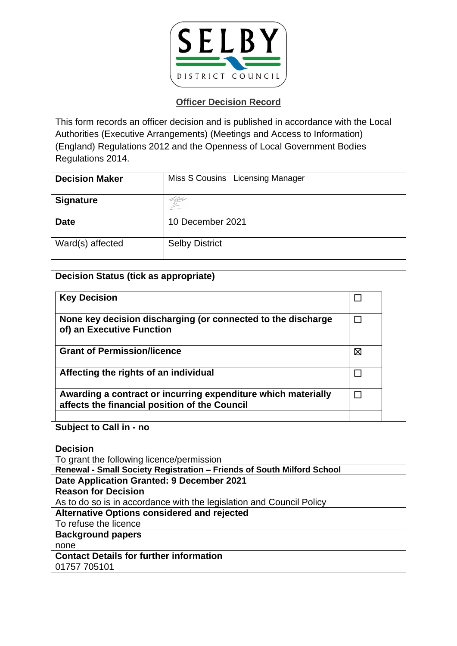

| <b>Decision Maker</b> | Miss S Cousins Licensing Manager |
|-----------------------|----------------------------------|
| <b>Signature</b>      | C Gilles                         |
| <b>Date</b>           | 10 December 2021                 |
| Ward(s) affected      | <b>Selby District</b>            |

| <b>Decision Status (tick as appropriate)</b>                                                                   |        |  |
|----------------------------------------------------------------------------------------------------------------|--------|--|
| <b>Key Decision</b>                                                                                            | □      |  |
| None key decision discharging (or connected to the discharge<br>of) an Executive Function                      | $\Box$ |  |
| <b>Grant of Permission/licence</b>                                                                             | ⊠      |  |
| Affecting the rights of an individual                                                                          | $\Box$ |  |
| Awarding a contract or incurring expenditure which materially<br>affects the financial position of the Council | $\Box$ |  |
| Subject to Call in - no                                                                                        |        |  |
| <b>Decision</b>                                                                                                |        |  |
| To grant the following licence/permission                                                                      |        |  |
| Renewal - Small Society Registration - Friends of South Milford School                                         |        |  |
| Date Application Granted: 9 December 2021                                                                      |        |  |
| <b>Reason for Decision</b>                                                                                     |        |  |
| As to do so is in accordance with the legislation and Council Policy                                           |        |  |
| <b>Alternative Options considered and rejected</b>                                                             |        |  |
| To refuse the licence                                                                                          |        |  |
| <b>Background papers</b>                                                                                       |        |  |
| none                                                                                                           |        |  |
| <b>Contact Details for further information</b>                                                                 |        |  |
| 01757 705101                                                                                                   |        |  |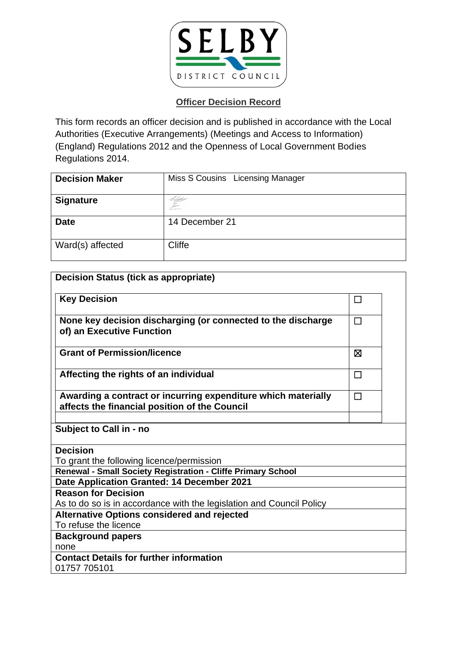

| <b>Decision Maker</b> | Miss S Cousins Licensing Manager |
|-----------------------|----------------------------------|
| <b>Signature</b>      | C Qbs                            |
| <b>Date</b>           | 14 December 21                   |
| Ward(s) affected      | Cliffe                           |

| <b>Decision Status (tick as appropriate)</b>                                                                   |        |  |
|----------------------------------------------------------------------------------------------------------------|--------|--|
| <b>Key Decision</b>                                                                                            | $\Box$ |  |
| None key decision discharging (or connected to the discharge<br>of) an Executive Function                      | П      |  |
| <b>Grant of Permission/licence</b>                                                                             | ⊠      |  |
| Affecting the rights of an individual                                                                          | $\Box$ |  |
| Awarding a contract or incurring expenditure which materially<br>affects the financial position of the Council | $\Box$ |  |
| Subject to Call in - no                                                                                        |        |  |
| <b>Decision</b>                                                                                                |        |  |
| To grant the following licence/permission                                                                      |        |  |
| Renewal - Small Society Registration - Cliffe Primary School                                                   |        |  |
| Date Application Granted: 14 December 2021                                                                     |        |  |
| <b>Reason for Decision</b>                                                                                     |        |  |
| As to do so is in accordance with the legislation and Council Policy                                           |        |  |
| <b>Alternative Options considered and rejected</b>                                                             |        |  |
| To refuse the licence                                                                                          |        |  |
| <b>Background papers</b>                                                                                       |        |  |
| none                                                                                                           |        |  |
| <b>Contact Details for further information</b>                                                                 |        |  |
| 01757 705101                                                                                                   |        |  |